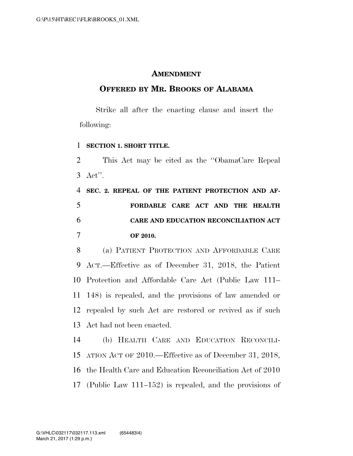## **AMENDMENT**

## **OFFERED BY MR. BROOKS OF ALABAMA**

Strike all after the enacting clause and insert the following:

## **SECTION 1. SHORT TITLE.**

 This Act may be cited as the ''ObamaCare Repeal Act''.

 **SEC. 2. REPEAL OF THE PATIENT PROTECTION AND AF- FORDABLE CARE ACT AND THE HEALTH CARE AND EDUCATION RECONCILIATION ACT OF 2010.** 

 (a) PATIENT PROTECTION AND AFFORDABLE CARE ACT.—Effective as of December 31, 2018, the Patient Protection and Affordable Care Act (Public Law 111– 148) is repealed, and the provisions of law amended or repealed by such Act are restored or revived as if such Act had not been enacted.

 (b) HEALTH CARE AND EDUCATION RECONCILI- ATION ACT OF 2010.—Effective as of December 31, 2018, the Health Care and Education Reconciliation Act of 2010 (Public Law 111–152) is repealed, and the provisions of